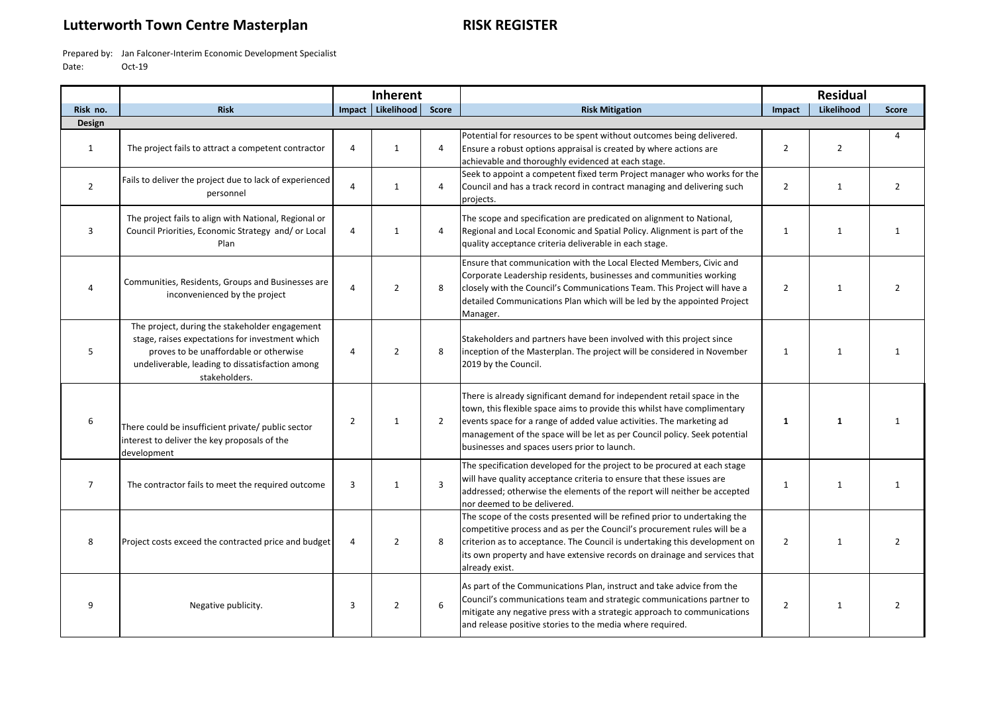## **Lutterworth Town Centre Masterplan RISK REGISTER**

Prepared by: Jan Falconer-Interim Economic Development Specialist Date: Oct-19

|                |                                                                                                                                                                                                                 | <b>Inherent</b> |                   |                |                                                                                                                                                                                                                                                                                                                                                          |                |                |                |
|----------------|-----------------------------------------------------------------------------------------------------------------------------------------------------------------------------------------------------------------|-----------------|-------------------|----------------|----------------------------------------------------------------------------------------------------------------------------------------------------------------------------------------------------------------------------------------------------------------------------------------------------------------------------------------------------------|----------------|----------------|----------------|
| Risk no.       | <b>Risk</b>                                                                                                                                                                                                     |                 | Impact Likelihood | <b>Score</b>   | <b>Risk Mitigation</b>                                                                                                                                                                                                                                                                                                                                   | Impact         | Likelihood     | <b>Score</b>   |
| Design         |                                                                                                                                                                                                                 |                 |                   |                |                                                                                                                                                                                                                                                                                                                                                          |                |                |                |
| 1              | The project fails to attract a competent contractor                                                                                                                                                             | 4               | $\mathbf{1}$      | 4              | Potential for resources to be spent without outcomes being delivered.<br>Ensure a robust options appraisal is created by where actions are<br>achievable and thoroughly evidenced at each stage.                                                                                                                                                         | $\overline{2}$ | $\overline{2}$ | $\overline{4}$ |
| $\overline{2}$ | Fails to deliver the project due to lack of experienced<br>personnel                                                                                                                                            | 4               | $\mathbf{1}$      | 4              | Seek to appoint a competent fixed term Project manager who works for the<br>Council and has a track record in contract managing and delivering such<br>projects.                                                                                                                                                                                         | $\overline{2}$ | $\mathbf{1}$   | $\overline{2}$ |
| 3              | The project fails to align with National, Regional or<br>Council Priorities, Economic Strategy and/ or Local<br>Plan                                                                                            | 4               | $\mathbf{1}$      | 4              | The scope and specification are predicated on alignment to National,<br>Regional and Local Economic and Spatial Policy. Alignment is part of the<br>quality acceptance criteria deliverable in each stage.                                                                                                                                               | $\mathbf{1}$   | $\mathbf{1}$   | 1              |
| 4              | Communities, Residents, Groups and Businesses are<br>inconvenienced by the project                                                                                                                              | 4               | $\overline{2}$    | 8              | Ensure that communication with the Local Elected Members, Civic and<br>Corporate Leadership residents, businesses and communities working<br>closely with the Council's Communications Team. This Project will have a<br>detailed Communications Plan which will be led by the appointed Project<br>Manager.                                             | $\overline{2}$ | $\mathbf{1}$   | $\overline{2}$ |
| 5              | The project, during the stakeholder engagement<br>stage, raises expectations for investment which<br>proves to be unaffordable or otherwise<br>undeliverable, leading to dissatisfaction among<br>stakeholders. | 4               | $\overline{2}$    | 8              | Stakeholders and partners have been involved with this project since<br>inception of the Masterplan. The project will be considered in November<br>2019 by the Council.                                                                                                                                                                                  | $\mathbf{1}$   | 1              | 1              |
| 6              | There could be insufficient private/ public sector<br>interest to deliver the key proposals of the<br>development                                                                                               | $\overline{2}$  | $\mathbf{1}$      | $\overline{2}$ | There is already significant demand for independent retail space in the<br>town, this flexible space aims to provide this whilst have complimentary<br>events space for a range of added value activities. The marketing ad<br>management of the space will be let as per Council policy. Seek potential<br>businesses and spaces users prior to launch. | $\mathbf{1}$   | $\mathbf{1}$   | $\mathbf{1}$   |
| $\overline{7}$ | The contractor fails to meet the required outcome                                                                                                                                                               | 3               | $\mathbf{1}$      | 3              | The specification developed for the project to be procured at each stage<br>will have quality acceptance criteria to ensure that these issues are<br>addressed; otherwise the elements of the report will neither be accepted<br>nor deemed to be delivered.                                                                                             | $\mathbf{1}$   | $\mathbf{1}$   | 1              |
| 8              | Project costs exceed the contracted price and budget                                                                                                                                                            | 4               | 2                 | 8              | The scope of the costs presented will be refined prior to undertaking the<br>competitive process and as per the Council's procurement rules will be a<br>criterion as to acceptance. The Council is undertaking this development on<br>its own property and have extensive records on drainage and services that<br>already exist.                       | $\overline{2}$ | 1              | $\overline{2}$ |
| q              | Negative publicity.                                                                                                                                                                                             | 3               | $\overline{2}$    | 6              | As part of the Communications Plan, instruct and take advice from the<br>Council's communications team and strategic communications partner to<br>mitigate any negative press with a strategic approach to communications<br>and release positive stories to the media where required.                                                                   | $\overline{2}$ | 1              | 2              |